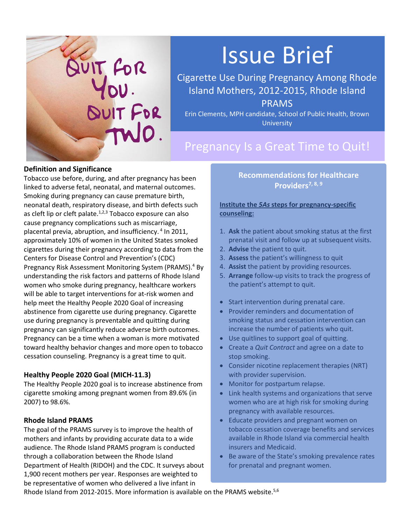

# Issue Brief

Cigarette Use During Pregnancy Among Rhode Island Mothers, 2012-2015, Rhode Island PRAMS

Erin Clements, MPH candidate, School of Public Health, Brown **University** 

# Pregnancy Is a Great Time to Quit!

#### **Definition and Significance**

Tobacco use before, during, and after pregnancy has been linked to adverse fetal, neonatal, and maternal outcomes. Smoking during pregnancy can cause premature birth, neonatal death, respiratory disease, and birth defects such as cleft lip or cleft palate. $1,2,3$  Tobacco exposure can also cause pregnancy complications such as miscarriage, placental previa, abruption, and insufficiency. 4 In 2011, approximately 10% of women in the United States smoked cigarettes during their pregnancy according to data from the Centers for Disease Control and Prevention's (CDC) Pregnancy Risk Assessment Monitoring System (PRAMS).<sup>4</sup> By understanding the risk factors and patterns of Rhode Island women who smoke during pregnancy, healthcare workers will be able to target interventions for at-risk women and help meet the Healthy People 2020 Goal of increasing abstinence from cigarette use during pregnancy. Cigarette use during pregnancy is preventable and quitting during pregnancy can significantly reduce adverse birth outcomes. Pregnancy can be a time when a woman is more motivated toward healthy behavior changes and more open to tobacco cessation counseling. Pregnancy is a great time to quit.

#### **Healthy People 2020 Goal (MICH-11.3)**

The Healthy People 2020 goal is to increase abstinence from cigarette smoking among pregnant women from 89.6% (in 2007) to 98.6%.

#### **Rhode Island PRAMS**

The goal of the PRAMS survey is to improve the health of mothers and infants by providing accurate data to a wide audience. The Rhode Island PRAMS program is conducted through a collaboration between the Rhode Island Department of Health (RIDOH) and the CDC. It surveys about 1,900 recent mothers per year. Responses are weighted to be representative of women who delivered a live infant in

## **Recommendations for Healthcare Providers7, 8, 9**

#### **Institute the** *5As* **steps for pregnancy-specific counseling:**

- 1. **Ask** the patient about smoking status at the first prenatal visit and follow up at subsequent visits.
- 2. **Advise** the patient to quit.
- 3. **Assess** the patient's willingness to quit
- 4. **Assist** the patient by providing resources.
- 5. **Arrange** follow-up visits to track the progress of the patient's attempt to quit.
- Start intervention during prenatal care.
- Provider reminders and documentation of smoking status and cessation intervention can increase the number of patients who quit.
- Use quitlines to support goal of quitting.
- Create a *Quit Contract* and agree on a date to stop smoking.
- Consider nicotine replacement therapies (NRT) with provider supervision.
- Monitor for postpartum relapse.
- Link health systems and organizations that serve women who are at high risk for smoking during pregnancy with available resources.
- Educate providers and pregnant women on tobacco cessation coverage benefits and services available in Rhode Island via commercial health insurers and Medicaid.
- Be aware of the State's smoking prevalence rates for prenatal and pregnant women.

Rhode Island from 2012-2015. More information is available on the PRAMS website.<sup>5,6</sup>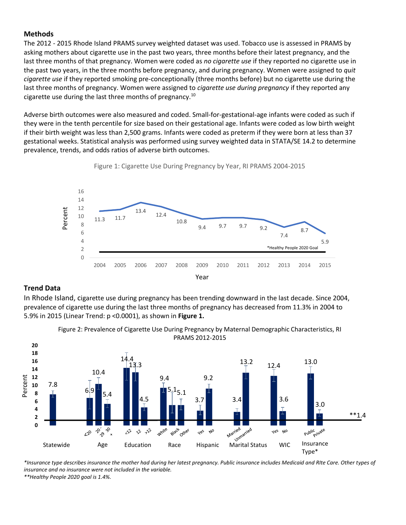#### **Methods**

The 2012 - 2015 Rhode Island PRAMS survey weighted dataset was used. Tobacco use is assessed in PRAMS by asking mothers about cigarette use in the past two years, three months before their latest pregnancy, and the last three months of that pregnancy. Women were coded as *no cigarette use* if they reported no cigarette use in the past two years, in the three months before pregnancy, and during pregnancy. Women were assigned to *quit cigarette use* if they reported smoking pre-conceptionally (three months before) but no cigarette use during the last three months of pregnancy. Women were assigned to *cigarette use during pregnancy* if they reported any cigarette use during the last three months of pregnancy.<sup>10</sup>

Adverse birth outcomes were also measured and coded. Small-for-gestational-age infants were coded as such if they were in the tenth percentile for size based on their gestational age. Infants were coded as low birth weight if their birth weight was less than 2,500 grams. Infants were coded as preterm if they were born at less than 37 gestational weeks. Statistical analysis was performed using survey weighted data in STATA/SE 14.2 to determine prevalence, trends, and odds ratios of adverse birth outcomes.



Figure 1: Cigarette Use During Pregnancy by Year, RI PRAMS 2004-2015

#### **Trend Data**

In Rhode Island, cigarette use during pregnancy has been trending downward in the last decade. Since 2004, prevalence of cigarette use during the last three months of pregnancy has decreased from 11.3% in 2004 to 5.9% in 2015 (Linear Trend: p <0.0001), as shown in **Figure 1.**



Figure 2: Prevalence of Cigarette Use During Pregnancy by Maternal Demographic Characteristics, RI

*\*Insurance type describes insurance the mother had during her latest pregnancy. Public insurance includes Medicaid and RIte Care. Other types of insurance and no insurance were not included in the variable. \*\*Healthy People 2020 goal is 1.4%.*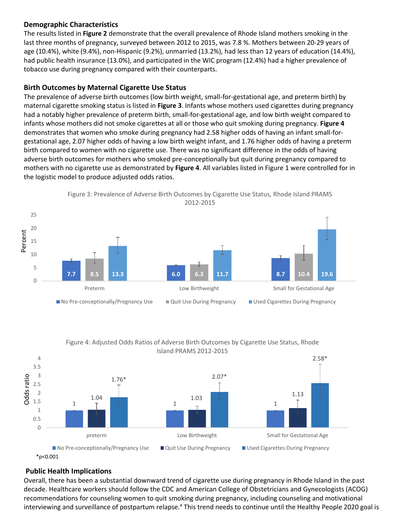#### **Demographic Characteristics**

The results listed in **Figure 2** demonstrate that the overall prevalence of Rhode Island mothers smoking in the last three months of pregnancy, surveyed between 2012 to 2015, was 7.8 %. Mothers between 20-29 years of age (10.4%), white (9.4%), non-Hispanic (9.2%), unmarried (13.2%), had less than 12 years of education (14.4%), had public health insurance (13.0%), and participated in the WIC program (12.4%) had a higher prevalence of tobacco use during pregnancy compared with their counterparts.

#### **Birth Outcomes by Maternal Cigarette Use Status**

The prevalence of adverse birth outcomes (low birth weight, small-for-gestational age, and preterm birth) by maternal cigarette smoking status is listed in **Figure 3**. Infants whose mothers used cigarettes during pregnancy had a notably higher prevalence of preterm birth, small-for-gestational age, and low birth weight compared to infants whose mothers did not smoke cigarettes at all or those who quit smoking during pregnancy. **Figure 4** demonstrates that women who smoke during pregnancy had 2.58 higher odds of having an infant small-forgestational age, 2.07 higher odds of having a low birth weight infant, and 1.76 higher odds of having a preterm birth compared to women with no cigarette use. There was no significant difference in the odds of having adverse birth outcomes for mothers who smoked pre-conceptionally but quit during pregnancy compared to mothers with no cigarette use as demonstrated by **Figure 4**. All variables listed in Figure 1 were controlled for in the logistic model to produce adjusted odds ratios.





#### Figure 4: Adjusted Odds Ratios of Adverse Birth Outcomes by Cigarette Use Status, Rhode Island PRAMS 2012-2015



#### \*p<0.001

### **Public Health Implications**

Overall, there has been a substantial downward trend of cigarette use during pregnancy in Rhode Island in the past decade. Healthcare workers should follow the CDC and American College of Obstetricians and Gynecologists (ACOG) recommendations for counseling women to quit smoking during pregnancy, including counseling and motivational interviewing and surveillance of postpartum relapse.<sup>4</sup> This trend needs to continue until the Healthy People 2020 goal is